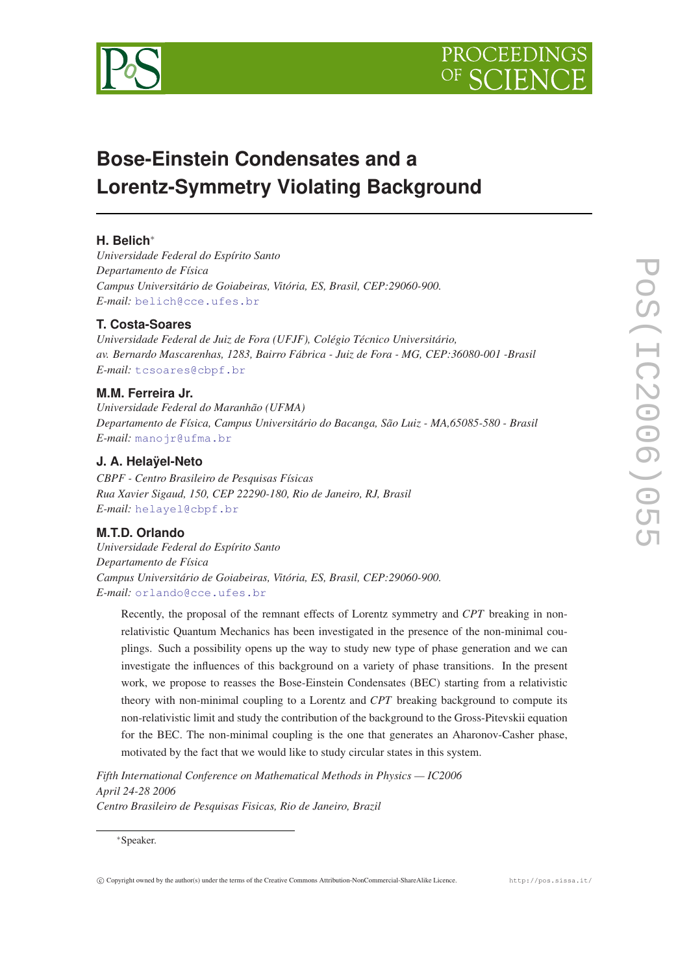

# **Bose-Einstein Condensates and a Lorentz-Symmetry Violating Background**

# **H. Belich**<sup>∗</sup>

*Universidade Federal do Espírito Santo Departamento de Física Campus Universitário de Goiabeiras, Vitória, ES, Brasil, CEP:29060-900. E-mail:* [belich@cce.ufes.br](mailto:belich@cce.ufes.br)

## **T. Costa-Soares**

*Universidade Federal de Juiz de Fora (UFJF), Colégio Técnico Universitário, av. Bernardo Mascarenhas, 1283, Bairro Fábrica - Juiz de Fora - MG, CEP:36080-001 -Brasil E-mail:* [tcsoares@cbpf.br](mailto:tcsoares@cbpf.br)

## **M.M. Ferreira Jr.**

*Universidade Federal do Maranhão (UFMA) Departamento de Física, Campus Universitário do Bacanga, São Luiz - MA,65085-580 - Brasil E-mail:* [manojr@ufma.br](mailto:manojr@ufma.br)

## **J. A. Helaÿel-Neto**

*CBPF - Centro Brasileiro de Pesquisas Físicas Rua Xavier Sigaud, 150, CEP 22290-180, Rio de Janeiro, RJ, Brasil E-mail:* [helayel@cbpf.br](mailto:helayel@cbpf.br)

#### **M.T.D. Orlando**

*Universidade Federal do Espírito Santo Departamento de Física Campus Universitário de Goiabeiras, Vitória, ES, Brasil, CEP:29060-900. E-mail:* [orlando@cce.ufes.br](mailto:orlando@cce.ufes.br)

Recently, the proposal of the remnant effects of Lorentz symmetry and *CPT* breaking in nonrelativistic Quantum Mechanics has been investigated in the presence of the non-minimal couplings. Such a possibility opens up the way to study new type of phase generation and we can investigate the influences of this background on a variety of phase transitions. In the present work, we propose to reasses the Bose-Einstein Condensates (BEC) starting from a relativistic theory with non-minimal coupling to a Lorentz and *CPT* breaking background to compute its non-relativistic limit and study the contribution of the background to the Gross-Pitevskii equation for the BEC. The non-minimal coupling is the one that generates an Aharonov-Casher phase, motivated by the fact that we would like to study circular states in this system.

*Fifth International Conference on Mathematical Methods in Physics — IC2006 April 24-28 2006 Centro Brasileiro de Pesquisas Fisicas, Rio de Janeiro, Brazil*

<sup>∗</sup>Speaker.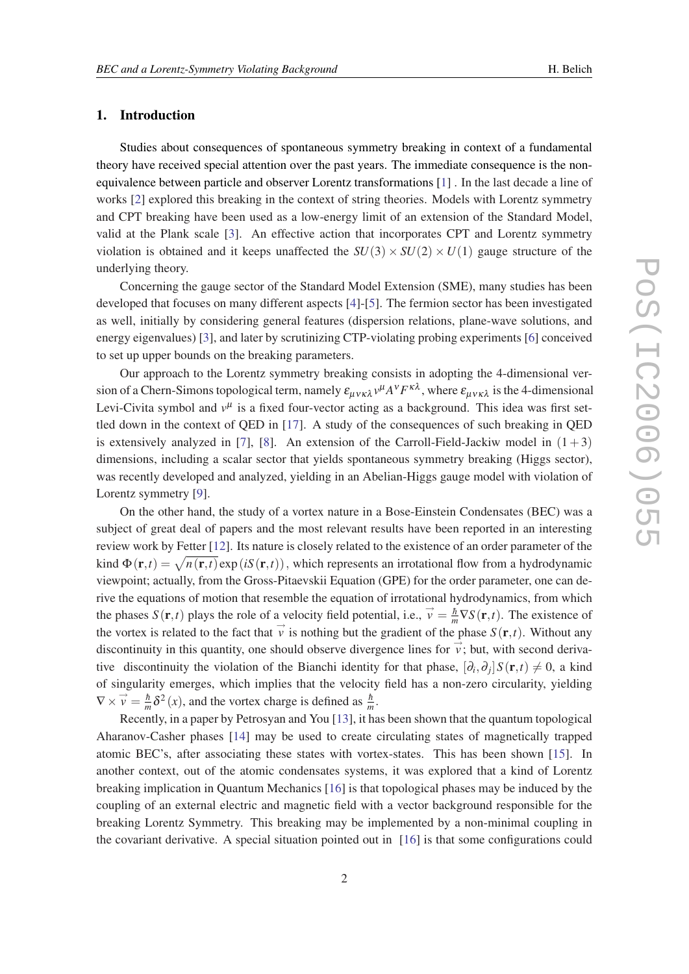#### 1. Introduction

Studies about consequences of spontaneous symmetry breaking in context of a fundamental theory have received special attention over the past years. The immediate consequence is the nonequivalence between particle and observer Lorentz transformations [[1](#page-6-0)] . In the last decade a line of works [\[2\]](#page-6-0) explored this breaking in the context of string theories. Models with Lorentz symmetry and CPT breaking have been used as a low-energy limit of an extension of the Standard Model, valid at the Plank scale [\[3\]](#page-6-0). An effective action that incorporates CPT and Lorentz symmetry violation is obtained and it keeps unaffected the  $SU(3) \times SU(2) \times U(1)$  gauge structure of the underlying theory.

Concerning the gauge sector of the Standard Model Extension (SME), many studies has been developed that focuses on many different aspects [[4](#page-6-0)]-[[5](#page-6-0)]. The fermion sector has been investigated as well, initially by considering general features (dispersion relations, plane-wave solutions, and energy eigenvalues) [[3\]](#page-6-0), and later by scrutinizing CTP-violating probing experiments [[6](#page-6-0)] conceived to set up upper bounds on the breaking parameters.

Our approach to the Lorentz symmetry breaking consists in adopting the 4-dimensional version of a Chern-Simons topological term, namely  $\varepsilon_{\mu\nu\kappa\lambda}v^{\mu}A^{\nu}F^{\kappa\lambda}$ , where  $\varepsilon_{\mu\nu\kappa\lambda}$  is the 4-dimensional Levi-Civita symbol and  $v^{\mu}$  is a fixed four-vector acting as a background. This idea was first settled down in the context of QED in [[17\]](#page-7-0). A study of the consequences of such breaking in QED is extensively analyzed in [[7](#page-6-0)], [[8](#page-6-0)]. An extension of the Carroll-Field-Jackiw model in  $(1+3)$ dimensions, including a scalar sector that yields spontaneous symmetry breaking (Higgs sector), was recently developed and analyzed, yielding in an Abelian-Higgs gauge model with violation of Lorentz symmetry [[9](#page-6-0)].

On the other hand, the study of a vortex nature in a Bose-Einstein Condensates (BEC) was a subject of great deal of papers and the most relevant results have been reported in an interesting review work by Fetter [\[12](#page-6-0)]. Its nature is closely related to the existence of an order parameter of the kind  $\Phi(\mathbf{r},t) = \sqrt{n(\mathbf{r},t)}$ exp(*iS*( $\mathbf{r},t$ )), which represents an irrotational flow from a hydrodynamic viewpoint; actually, from the Gross-Pitaevskii Equation (GPE) for the order parameter, one can derive the equations of motion that resemble the equation of irrotational hydrodynamics, from which the phases  $S(\mathbf{r},t)$  plays the role of a velocity field potential, i.e.,  $\vec{v} = \frac{\hbar}{m} \nabla S(\mathbf{r},t)$ . The existence of the vortex is related to the fact that  $\vec{v}$  is nothing but the gradient of the phase  $S(\mathbf{r},t)$ . Without any discontinuity in this quantity, one should observe divergence lines for  $\phi$ ; but, with second derivative discontinuity the violation of the Bianchi identity for that phase,  $[\partial_i, \partial_j] S(\mathbf{r}, t) \neq 0$ , a kind of singularity emerges, which implies that the velocity field has a non-zero circularity, yielding  $\nabla \times \vec{v} = \frac{\hbar}{m} \delta^2(x)$ , and the vortex charge is defined as  $\frac{\hbar}{m}$ .

Recently, in a paper by Petrosyan and You [[13\]](#page-6-0), it has been shown that the quantum topological Aharanov-Casher phases [\[14](#page-7-0)] may be used to create circulating states of magnetically trapped atomic BEC's, after associating these states with vortex-states. This has been shown [[15\]](#page-7-0). In another context, out of the atomic condensates systems, it was explored that a kind of Lorentz breaking implication in Quantum Mechanics [\[16](#page-7-0)] is that topological phases may be induced by the coupling of an external electric and magnetic field with a vector background responsible for the breaking Lorentz Symmetry. This breaking may be implemented by a non-minimal coupling in the covariant derivative. A special situation pointed out in [[16\]](#page-7-0) is that some configurations could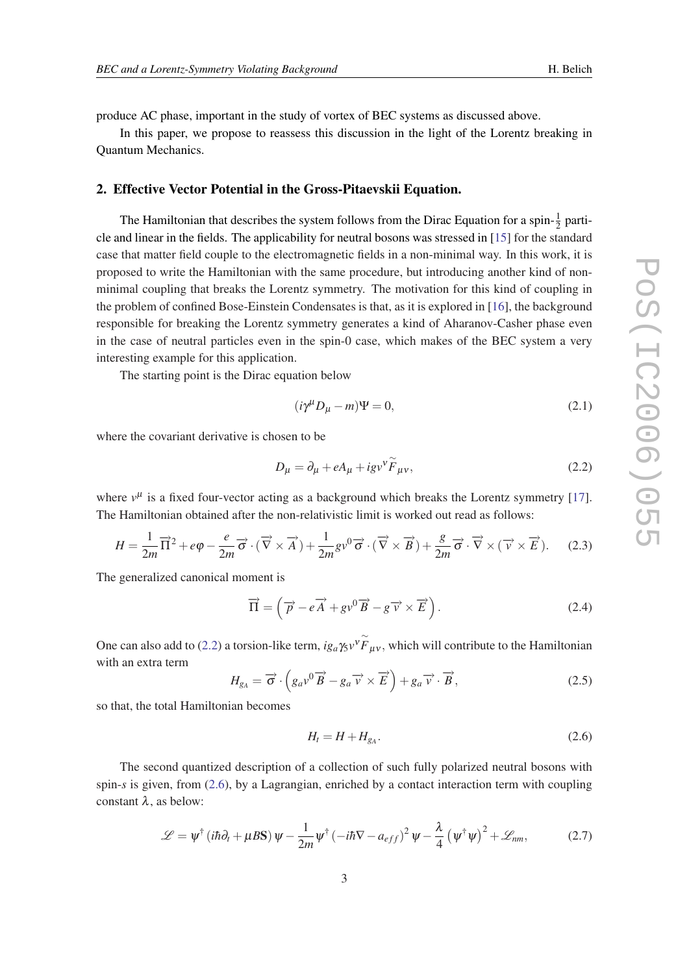produce AC phase, important in the study of vortex of BEC systems as discussed above.

In this paper, we propose to reassess this discussion in the light of the Lorentz breaking in Quantum Mechanics.

## 2. Effective Vector Potential in the Gross-Pitaevskii Equation.

The Hamiltonian that describes the system follows from the Dirac Equation for a spin- $\frac{1}{2}$  particle and linear in the fields. The applicability for neutral bosons was stressed in [\[15](#page-7-0)] for the standard case that matter field couple to the electromagnetic fields in a non-minimal way. In this work, it is proposed to write the Hamiltonian with the same procedure, but introducing another kind of nonminimal coupling that breaks the Lorentz symmetry. The motivation for this kind of coupling in the problem of confined Bose-Einstein Condensates is that, as it is explored in [\[16](#page-7-0)], the background responsible for breaking the Lorentz symmetry generates a kind of Aharanov-Casher phase even in the case of neutral particles even in the spin-0 case, which makes of the BEC system a very interesting example for this application.

The starting point is the Dirac equation below

$$
(i\gamma^{\mu}D_{\mu}-m)\Psi=0,
$$
\n(2.1)

where the covariant derivative is chosen to be

$$
D_{\mu} = \partial_{\mu} + eA_{\mu} + igv^{\gamma} \widetilde{F}_{\mu\nu},\tag{2.2}
$$

where  $v^{\mu}$  is a fixed four-vector acting as a background which breaks the Lorentz symmetry [[17\]](#page-7-0). The Hamiltonian obtained after the non-relativistic limit is worked out read as follows:

$$
H = \frac{1}{2m}\overrightarrow{\Pi}^2 + e\varphi - \frac{e}{2m}\overrightarrow{\sigma} \cdot (\overrightarrow{\nabla} \times \overrightarrow{A}) + \frac{1}{2m}g\nu^0\overrightarrow{\sigma} \cdot (\overrightarrow{\nabla} \times \overrightarrow{B}) + \frac{g}{2m}\overrightarrow{\sigma} \cdot \overrightarrow{\nabla} \times (\overrightarrow{\nu} \times \overrightarrow{E}). \tag{2.3}
$$

The generalized canonical moment is

$$
\overrightarrow{\Pi} = \left(\overrightarrow{p} - e\overrightarrow{A} + gv^{0}\overrightarrow{B} - g\overrightarrow{v} \times \overrightarrow{E}\right).
$$
 (2.4)

One can also add to (2.2) a torsion-like term,  $ig_a \gamma_5 v^{\gamma} \tilde{F}_{\mu\nu}$ , which will contribute to the Hamiltonian with an extra term

$$
H_{g_A} = \overrightarrow{\sigma} \cdot \left( g_a v^0 \overrightarrow{B} - g_a \overrightarrow{v} \times \overrightarrow{E} \right) + g_a \overrightarrow{v} \cdot \overrightarrow{B}, \qquad (2.5)
$$

so that, the total Hamiltonian becomes

$$
H_t = H + H_{g_A}.\tag{2.6}
$$

The second quantized description of a collection of such fully polarized neutral bosons with spin-*s* is given, from (2.6), by a Lagrangian, enriched by a contact interaction term with coupling constant  $\lambda$ , as below:

$$
\mathcal{L} = \psi^{\dagger} \left( i\hbar \partial_t + \mu B \mathbf{S} \right) \psi - \frac{1}{2m} \psi^{\dagger} \left( -i\hbar \nabla - a_{eff} \right)^2 \psi - \frac{\lambda}{4} \left( \psi^{\dagger} \psi \right)^2 + \mathcal{L}_{nm}, \tag{2.7}
$$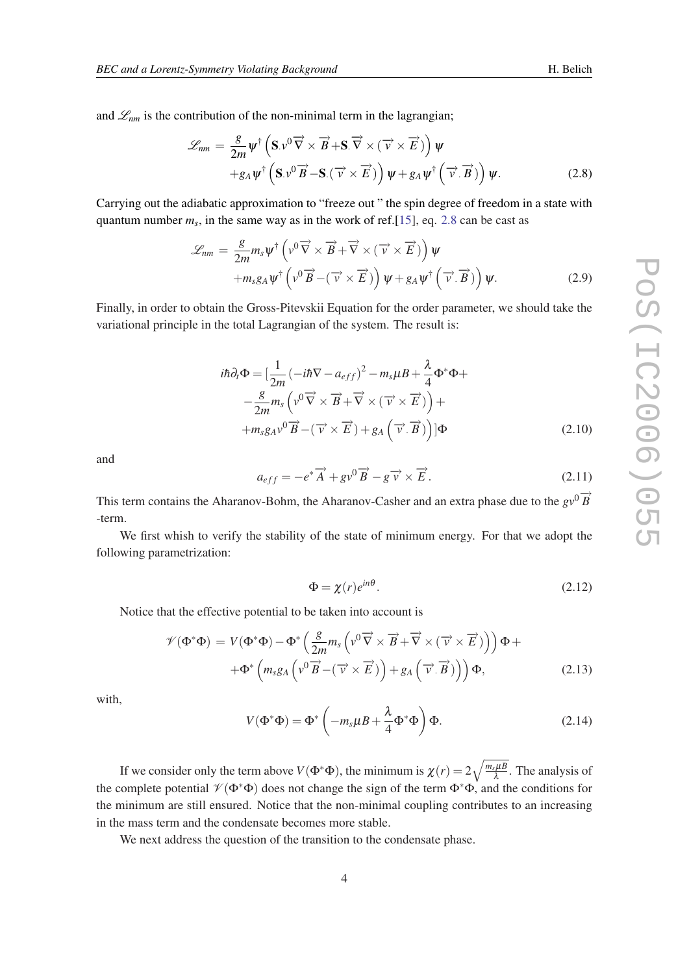<span id="page-3-0"></span>and  $\mathcal{L}_{nm}$  is the contribution of the non-minimal term in the lagrangian;

$$
\mathcal{L}_{nm} = \frac{g}{2m} \psi^{\dagger} \left( \mathbf{S} . v^{0} \overrightarrow{\nabla} \times \overrightarrow{B} + \mathbf{S} . \overrightarrow{\nabla} \times (\overrightarrow{v} \times \overrightarrow{E}) \right) \psi + g_{A} \psi^{\dagger} \left( \mathbf{S} . v^{0} \overrightarrow{B} - \mathbf{S} . (\overrightarrow{v} \times \overrightarrow{E}) \right) \psi + g_{A} \psi^{\dagger} \left( \overrightarrow{v} . \overrightarrow{B} \right) \psi.
$$
 (2.8)

Carrying out the adiabatic approximation to "freeze out " the spin degree of freedom in a state with quantum number  $m_s$ , in the same way as in the work of ref. [[15\]](#page-7-0), eq. 2.8 can be cast as

$$
\mathcal{L}_{nm} = \frac{g}{2m} m_s \psi^{\dagger} \left( v^0 \overrightarrow{\nabla} \times \overrightarrow{B} + \overrightarrow{\nabla} \times (\overrightarrow{v} \times \overrightarrow{E}) \right) \psi + m_s g_A \psi^{\dagger} \left( v^0 \overrightarrow{B} - (\overrightarrow{v} \times \overrightarrow{E}) \right) \psi + g_A \psi^{\dagger} \left( \overrightarrow{v} \cdot \overrightarrow{B} \right) \psi.
$$
 (2.9)

Finally, in order to obtain the Gross-Pitevskii Equation for the order parameter, we should take the variational principle in the total Lagrangian of the system. The result is:

$$
i\hbar \partial_t \Phi = \left[ \frac{1}{2m} \left( -i\hbar \nabla - a_{eff} \right)^2 - m_s \mu B + \frac{\lambda}{4} \Phi^* \Phi + \right. \\ \left. - \frac{g}{2m} m_s \left( v^0 \overrightarrow{\nabla} \times \overrightarrow{B} + \overrightarrow{\nabla} \times (\overrightarrow{v} \times \overrightarrow{E}) \right) + \\ + m_s g_A v^0 \overrightarrow{B} - (\overrightarrow{v} \times \overrightarrow{E}) + g_A \left( \overrightarrow{v} \cdot \overrightarrow{B} \right) \right] \Phi \tag{2.10}
$$

and

$$
a_{eff} = -e^* \overrightarrow{A} + g v^0 \overrightarrow{B} - g \overrightarrow{v} \times \overrightarrow{E}.
$$
 (2.11)

This term contains the Aharanov-Bohm, the Aharanov-Casher and an extra phase due to the  $g\overrightarrow{v}$ <sup>0</sup> $\overrightarrow{B}$ <sup>2</sup> -term.

We first whish to verify the stability of the state of minimum energy. For that we adopt the following parametrization:

$$
\Phi = \chi(r)e^{in\theta}.\tag{2.12}
$$

Notice that the effective potential to be taken into account is

$$
\mathcal{V}(\Phi^*\Phi) = V(\Phi^*\Phi) - \Phi^* \left( \frac{g}{2m} m_s \left( v^0 \overrightarrow{\nabla} \times \overrightarrow{B} + \overrightarrow{\nabla} \times (\overrightarrow{v} \times \overrightarrow{E}) \right) \right) \Phi + + \Phi^* \left( m_s g_A \left( v^0 \overrightarrow{B} - (\overrightarrow{v} \times \overrightarrow{E}) \right) + g_A \left( \overrightarrow{v} \cdot \overrightarrow{B} \right) \right) \Phi,
$$
(2.13)

with,

$$
V(\Phi^*\Phi) = \Phi^* \left( -m_s \mu B + \frac{\lambda}{4} \Phi^* \Phi \right) \Phi.
$$
 (2.14)

If we consider only the term above  $V(\Phi^*\Phi)$ , the minimum is  $\chi(r) = 2\sqrt{\frac{m_s\mu B}{\lambda}}$  $\frac{s\mu B}{\lambda}$ . The analysis of the complete potential  $\mathcal{V}(\Phi^*\Phi)$  does not change the sign of the term  $\Phi^*\Phi$ , and the conditions for the minimum are still ensured. Notice that the non-minimal coupling contributes to an increasing in the mass term and the condensate becomes more stable.

We next address the question of the transition to the condensate phase.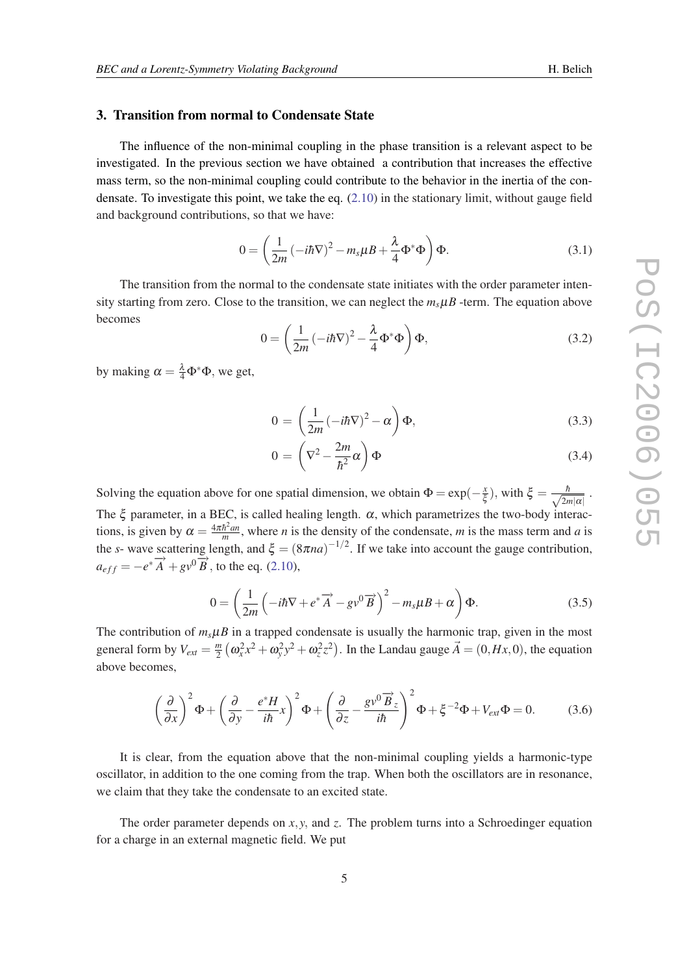#### 3. Transition from normal to Condensate State

The influence of the non-minimal coupling in the phase transition is a relevant aspect to be investigated. In the previous section we have obtained a contribution that increases the effective mass term, so the non-minimal coupling could contribute to the behavior in the inertia of the condensate. To investigate this point, we take the eq.  $(2.10)$  $(2.10)$  in the stationary limit, without gauge field and background contributions, so that we have:

$$
0 = \left(\frac{1}{2m} \left(-i\hbar \nabla\right)^2 - m_s \mu B + \frac{\lambda}{4} \Phi^* \Phi\right) \Phi.
$$
 (3.1)

The transition from the normal to the condensate state initiates with the order parameter intensity starting from zero. Close to the transition, we can neglect the  $m<sub>s</sub> \mu B$  -term. The equation above becomes

$$
0 = \left(\frac{1}{2m} \left(-i\hbar \nabla\right)^2 - \frac{\lambda}{4} \Phi^* \Phi\right) \Phi,
$$
\n(3.2)

by making  $\alpha = \frac{\lambda}{4} \Phi^* \Phi$ , we get,

$$
0 = \left(\frac{1}{2m} \left(-i\hbar \nabla\right)^2 - \alpha\right) \Phi,\tag{3.3}
$$

$$
0 = \left(\nabla^2 - \frac{2m}{\hbar^2}\alpha\right)\Phi\tag{3.4}
$$

Solving the equation above for one spatial dimension, we obtain  $\Phi = \exp(-\frac{x}{\xi})$  $(\frac{x}{\xi})$ , with  $\xi = \frac{\hbar}{\sqrt{2n}}$  $rac{n}{2m|\alpha|}$ . The  $\xi$  parameter, in a BEC, is called healing length.  $\alpha$ , which parametrizes the two-body interactions, is given by  $\alpha = \frac{4\pi\hbar^2 a n}{m}$  $\frac{h^2 a n}{m}$ , where *n* is the density of the condensate, *m* is the mass term and *a* is the *s*- wave scattering length, and  $\xi = (8\pi na)^{-1/2}$ . If we take into account the gauge contribution,  $a_{eff} = -e^* \overrightarrow{A} + g v^0 \overrightarrow{B}$ , to the eq. [\(2.10](#page-3-0)),

$$
0 = \left(\frac{1}{2m}\left(-i\hbar\nabla + e^*\overrightarrow{A} - gv^0\overrightarrow{B}\right)^2 - m_s\mu B + \alpha\right)\Phi.
$$
 (3.5)

The contribution of  $m_s \mu B$  in a trapped condensate is usually the harmonic trap, given in the most general form by  $V_{ext} = \frac{m}{2}$  $\frac{m}{2}$   $(\omega_x^2 x^2 + \omega_y^2 y^2 + \omega_z^2 z^2)$ . In the Landau gauge  $\vec{A} = (0, Hx, 0)$ , the equation above becomes,

$$
\left(\frac{\partial}{\partial x}\right)^2 \Phi + \left(\frac{\partial}{\partial y} - \frac{e^* H}{i\hbar}x\right)^2 \Phi + \left(\frac{\partial}{\partial z} - \frac{g v^0 \overrightarrow{B}_z}{i\hbar}\right)^2 \Phi + \xi^{-2} \Phi + V_{ext} \Phi = 0. \tag{3.6}
$$

It is clear, from the equation above that the non-minimal coupling yields a harmonic-type oscillator, in addition to the one coming from the trap. When both the oscillators are in resonance, we claim that they take the condensate to an excited state.

The order parameter depends on  $x, y$ , and  $z$ . The problem turns into a Schroedinger equation for a charge in an external magnetic field. We put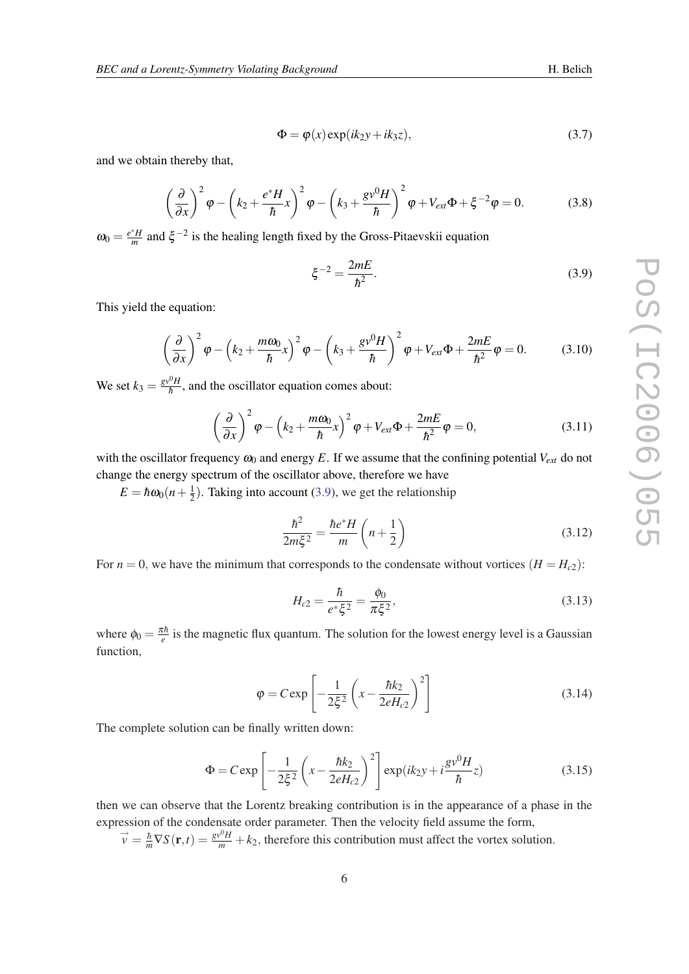$$
\Phi = \varphi(x) \exp(ik_2 y + ik_3 z), \tag{3.7}
$$

and we obtain thereby that,

$$
\left(\frac{\partial}{\partial x}\right)^2 \varphi - \left(k_2 + \frac{e^*H}{\hbar}x\right)^2 \varphi - \left(k_3 + \frac{g v^0 H}{\hbar}\right)^2 \varphi + V_{ext}\Phi + \xi^{-2}\varphi = 0.
$$
 (3.8)

 $\omega_0 = \frac{e^*H}{m}$  $\frac{H}{m}$  and  $\xi^{-2}$  is the healing length fixed by the Gross-Pitaevskii equation

$$
\xi^{-2} = \frac{2mE}{\hbar^2}.
$$
\n(3.9)

This yield the equation:

$$
\left(\frac{\partial}{\partial x}\right)^2 \varphi - \left(k_2 + \frac{m\omega_0}{\hbar}x\right)^2 \varphi - \left(k_3 + \frac{g v^0 H}{\hbar}\right)^2 \varphi + V_{ext}\Phi + \frac{2mE}{\hbar^2} \varphi = 0. \tag{3.10}
$$

We set  $k_3 = \frac{g v^0 H}{\hbar}$  $\frac{\partial^2 H}{\partial h}$ , and the oscillator equation comes about:

$$
\left(\frac{\partial}{\partial x}\right)^2 \varphi - \left(k_2 + \frac{m\omega_0}{\hbar}x\right)^2 \varphi + V_{ext}\Phi + \frac{2mE}{\hbar^2} \varphi = 0, \tag{3.11}
$$

with the oscillator frequency  $\omega_0$  and energy *E*. If we assume that the confining potential  $V_{ext}$  do not change the energy spectrum of the oscillator above, therefore we have

 $E = \hbar \omega_0 (n + \frac{1}{2})$  $\frac{1}{2}$ ). Taking into account (3.9), we get the relationship

$$
\frac{\hbar^2}{2m\xi^2} = \frac{\hbar e^* H}{m} \left( n + \frac{1}{2} \right)
$$
 (3.12)

For  $n = 0$ , we have the minimum that corresponds to the condensate without vortices  $(H = H<sub>c2</sub>)$ :

$$
H_{c2} = \frac{\hbar}{e^* \xi^2} = \frac{\phi_0}{\pi \xi^2},\tag{3.13}
$$

where  $\phi_0 = \frac{\pi \hbar}{e}$  is the magnetic flux quantum. The solution for the lowest energy level is a Gaussian function,

$$
\varphi = C \exp\left[-\frac{1}{2\xi^2} \left(x - \frac{\hbar k_2}{2eH_{c2}}\right)^2\right]
$$
\n(3.14)

The complete solution can be finally written down:

$$
\Phi = C \exp \left[ -\frac{1}{2\xi^2} \left( x - \frac{\hbar k_2}{2eH_{c2}} \right)^2 \right] \exp(ik_2 y + i \frac{g v^0 H}{\hbar} z)
$$
(3.15)

then we can observe that the Lorentz breaking contribution is in the appearance of a phase in the expression of the condensate order parameter. Then the velocity field assume the form,

 $\vec{v} = \frac{\hbar}{m} \nabla S(\mathbf{r}, t) = \frac{g v^0 H}{m} + k_2$ , therefore this contribution must affect the vortex solution.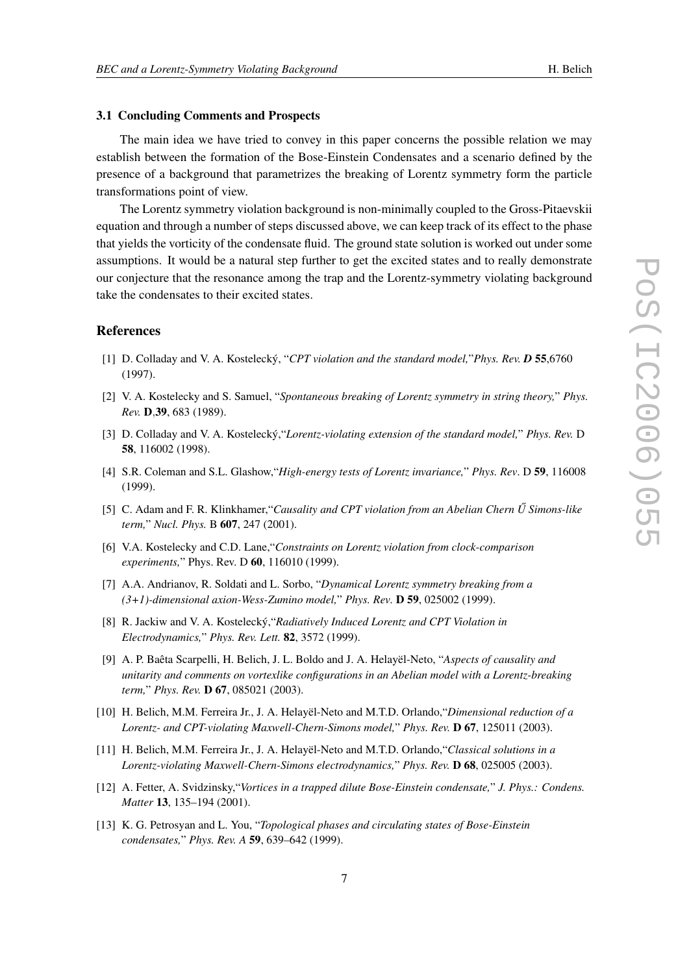#### <span id="page-6-0"></span>3.1 Concluding Comments and Prospects

The main idea we have tried to convey in this paper concerns the possible relation we may establish between the formation of the Bose-Einstein Condensates and a scenario defined by the presence of a background that parametrizes the breaking of Lorentz symmetry form the particle transformations point of view.

The Lorentz symmetry violation background is non-minimally coupled to the Gross-Pitaevskii equation and through a number of steps discussed above, we can keep track of its effect to the phase that yields the vorticity of the condensate fluid. The ground state solution is worked out under some assumptions. It would be a natural step further to get the excited states and to really demonstrate our conjecture that the resonance among the trap and the Lorentz-symmetry violating background take the condensates to their excited states.

#### References

- [1] D. Colladay and V. A. Kostelecký, "*CPT violation and the standard model,*"*Phys. Rev. D* 55,6760 (1997).
- [2] V. A. Kostelecky and S. Samuel, "*Spontaneous breaking of Lorentz symmetry in string theory,*" *Phys. Rev.* D,39, 683 (1989).
- [3] D. Colladay and V. A. Kostelecký,"*Lorentz-violating extension of the standard model,*" *Phys. Rev.* D 58, 116002 (1998).
- [4] S.R. Coleman and S.L. Glashow,"*High-energy tests of Lorentz invariance,*" *Phys. Rev*. D 59, 116008 (1999).
- [5] C. Adam and F. R. Klinkhamer,"*Causality and CPT violation from an Abelian Chern U Simons-like ˝ term,*" *Nucl. Phys.* B 607, 247 (2001).
- [6] V.A. Kostelecky and C.D. Lane,"*Constraints on Lorentz violation from clock-comparison experiments,*" Phys. Rev. D 60, 116010 (1999).
- [7] A.A. Andrianov, R. Soldati and L. Sorbo, "*Dynamical Lorentz symmetry breaking from a (3+1)-dimensional axion-Wess-Zumino model,*" *Phys. Rev.* D 59, 025002 (1999).
- [8] R. Jackiw and V. A. Kostelecký,"*Radiatively Induced Lorentz and CPT Violation in Electrodynamics,*" *Phys. Rev. Lett.* 82, 3572 (1999).
- [9] A. P. Baêta Scarpelli, H. Belich, J. L. Boldo and J. A. Helayël-Neto, "*Aspects of causality and unitarity and comments on vortexlike configurations in an Abelian model with a Lorentz-breaking term,*" *Phys. Rev.* D 67, 085021 (2003).
- [10] H. Belich, M.M. Ferreira Jr., J. A. Helayël-Neto and M.T.D. Orlando,"*Dimensional reduction of a Lorentz- and CPT-violating Maxwell-Chern-Simons model,*" *Phys. Rev.* D 67, 125011 (2003).
- [11] H. Belich, M.M. Ferreira Jr., J. A. Helayël-Neto and M.T.D. Orlando,"*Classical solutions in a Lorentz-violating Maxwell-Chern-Simons electrodynamics,*" *Phys. Rev.* D 68, 025005 (2003).
- [12] A. Fetter, A. Svidzinsky,"*Vortices in a trapped dilute Bose-Einstein condensate,*" *J. Phys.: Condens. Matter* 13, 135–194 (2001).
- [13] K. G. Petrosyan and L. You, "*Topological phases and circulating states of Bose-Einstein condensates,*" *Phys. Rev. A* 59, 639–642 (1999).